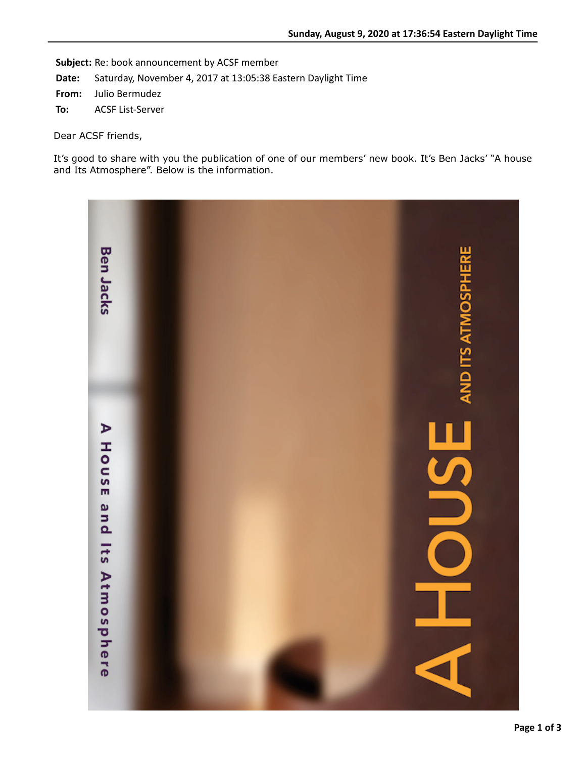**Subject:** Re: book announcement by ACSF member

**Date:** Saturday, November 4, 2017 at 13:05:38 Eastern Daylight Time

**From:** Julio Bermudez

**To:** ACSF List-Server

Dear ACSF friends,

It's good to share with you the publication of one of our members' new book. It's Ben Jacks' "A house and Its Atmosphere". Below is the information.

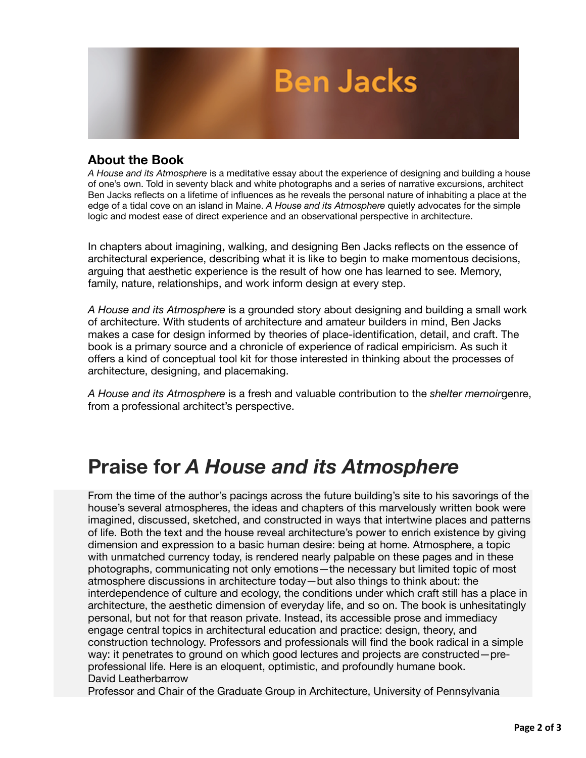

## **About the Book**

*A House and its Atmosphere* is a meditative essay about the experience of designing and building a house of one's own. Told in seventy black and white photographs and a series of narrative excursions, architect Ben Jacks reflects on a lifetime of influences as he reveals the personal nature of inhabiting a place at the edge of a tidal cove on an island in Maine. *A House and its Atmosphere* quietly advocates for the simple logic and modest ease of direct experience and an observational perspective in architecture.

In chapters about imagining, walking, and designing Ben Jacks reflects on the essence of architectural experience, describing what it is like to begin to make momentous decisions, arguing that aesthetic experience is the result of how one has learned to see. Memory, family, nature, relationships, and work inform design at every step.

*A House and its Atmosphere* is a grounded story about designing and building a small work of architecture. With students of architecture and amateur builders in mind, Ben Jacks makes a case for design informed by theories of place-identification, detail, and craft. The book is a primary source and a chronicle of experience of radical empiricism. As such it offers a kind of conceptual tool kit for those interested in thinking about the processes of architecture, designing, and placemaking.

*A House and its Atmosphere* is a fresh and valuable contribution to the *shelter memoir*genre, from a professional architect's perspective.

## **Praise for** *A House and its Atmosphere*

From the time of the author's pacings across the future building's site to his savorings of the house's several atmospheres, the ideas and chapters of this marvelously written book were imagined, discussed, sketched, and constructed in ways that intertwine places and patterns of life. Both the text and the house reveal architecture's power to enrich existence by giving dimension and expression to a basic human desire: being at home. Atmosphere, a topic with unmatched currency today, is rendered nearly palpable on these pages and in these photographs, communicating not only emotions—the necessary but limited topic of most atmosphere discussions in architecture today—but also things to think about: the interdependence of culture and ecology, the conditions under which craft still has a place in architecture, the aesthetic dimension of everyday life, and so on. The book is unhesitatingly personal, but not for that reason private. Instead, its accessible prose and immediacy engage central topics in architectural education and practice: design, theory, and construction technology. Professors and professionals will find the book radical in a simple way: it penetrates to ground on which good lectures and projects are constructed—preprofessional life. Here is an eloquent, optimistic, and profoundly humane book. David Leatherbarrow

Professor and Chair of the Graduate Group in Architecture, University of Pennsylvania